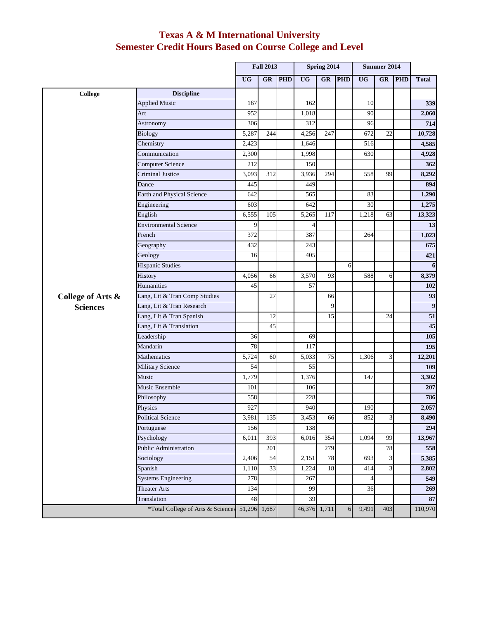## **Texas A & M International University Semester Credit Hours Based on Course College and Level**

|                                      |                                                | <b>Fall 2013</b> |           | Spring 2014 |              |           | Summer 2014 |           |           |            |                 |
|--------------------------------------|------------------------------------------------|------------------|-----------|-------------|--------------|-----------|-------------|-----------|-----------|------------|-----------------|
|                                      |                                                | <b>UG</b>        | <b>GR</b> | <b>PHD</b>  | <b>UG</b>    | <b>GR</b> | PHD         | <b>UG</b> | <b>GR</b> | <b>PHD</b> | <b>Total</b>    |
| <b>College</b>                       | <b>Discipline</b>                              |                  |           |             |              |           |             |           |           |            |                 |
|                                      | <b>Applied Music</b>                           | 167              |           |             | 162          |           |             | 10        |           |            | 339             |
|                                      | Art                                            | 952              |           |             | 1,018        |           |             | 90        |           |            | 2,060           |
|                                      | Astronomy                                      | 306              |           |             | 312          |           |             | 96        |           |            | 714             |
|                                      | <b>Biology</b>                                 | 5,287            | 244       |             | 4,256        | 247       |             | 672       | 22        |            | 10,728          |
|                                      | Chemistry                                      | 2,423            |           |             | 1,646        |           |             | 516       |           |            | 4,585           |
|                                      | Communication                                  | 2,300            |           |             | 1,998        |           |             | 630       |           |            | 4,928           |
|                                      | Computer Science                               | 212              |           |             | 150          |           |             |           |           |            | 362             |
|                                      | <b>Criminal Justice</b>                        | 3,093            | 312       |             | 3,936        | 294       |             | 558       | 99        |            | 8,292           |
|                                      | Dance                                          | 445              |           |             | 449          |           |             |           |           |            | 894             |
|                                      | Earth and Physical Science                     | 642              |           |             | 565          |           |             | 83        |           |            | 1,290           |
|                                      | Engineering                                    | 603              |           |             | 642          |           |             | 30        |           |            | 1,275           |
|                                      | English                                        | 6,555            | 105       |             | 5,265        | 117       |             | 1,218     | 63        |            | 13,323          |
|                                      | <b>Environmental Science</b>                   | 9                |           |             | 4            |           |             |           |           |            | 13              |
| College of Arts &<br><b>Sciences</b> | French                                         | 372              |           |             | 387          |           |             | 264       |           |            | 1,023           |
|                                      | Geography                                      | 432              |           |             | 243          |           |             |           |           |            | 675             |
|                                      | Geology                                        | 16               |           |             | 405          |           |             |           |           |            | 421             |
|                                      | <b>Hispanic Studies</b>                        |                  |           |             |              |           | 6           |           |           |            | 6               |
|                                      | History                                        | 4,056            | 66        |             | 3,570        | 93        |             | 588       | 6         |            | 8,379           |
|                                      | Humanities                                     | 45               |           |             | 57           |           |             |           |           |            | <b>102</b>      |
|                                      | Lang, Lit & Tran Comp Studies                  |                  | 27        |             |              | 66        |             |           |           |            | 93              |
|                                      | Lang, Lit & Tran Research                      |                  |           |             |              | 9         |             |           |           |            | $\overline{9}$  |
|                                      | Lang, Lit & Tran Spanish                       |                  | 12        |             |              | 15        |             |           | 24        |            | $\overline{51}$ |
|                                      | Lang, Lit & Translation                        |                  | 45        |             |              |           |             |           |           |            | 45              |
|                                      | Leadership                                     | 36               |           |             | 69           |           |             |           |           |            | 105             |
|                                      | Mandarin                                       | 78               |           |             | 117          |           |             |           |           |            | 195             |
|                                      | Mathematics                                    | 5,724            | 60        |             | 5,033        | 75        |             | 1,306     | 3         |            | 12,201          |
|                                      | <b>Military Science</b>                        | 54               |           |             | 55           |           |             |           |           |            | 109             |
|                                      | Music                                          | 1,779            |           |             | 1,376        |           |             | 147       |           |            | 3,302           |
|                                      | Music Ensemble                                 | 101              |           |             | 106          |           |             |           |           |            | 207             |
|                                      | Philosophy                                     | 558              |           |             | 228          |           |             |           |           |            | 786             |
|                                      | Physics                                        | 927              |           |             | 940          |           |             | 190       |           |            | 2,057           |
|                                      | <b>Political Science</b>                       | 3,981            | 135       |             | 3,453        | 66        |             | 852       | 3         |            | 8,490           |
|                                      | Portuguese                                     | 156              |           |             | 138          |           |             |           |           |            | 294             |
|                                      | Psychology                                     | 6,011            | 393       |             | 6,016        | 354       |             | 1,094     | 99        |            | 13,967          |
|                                      | Public Administration                          |                  | 201       |             |              | 279       |             |           | 78        |            | 558             |
|                                      | Sociology                                      | 2,406            | 54        |             | 2,151        | 78        |             | 693       | 3         |            | 5,385           |
|                                      | Spanish                                        | 1,110            | 33        |             | 1,224        | 18        |             | 414       | 3         |            | 2,802           |
|                                      | <b>Systems Engineering</b>                     | 278              |           |             | 267          |           |             | 4         |           |            | 549             |
|                                      | <b>Theater Arts</b>                            | 134              |           |             | 99           |           |             | 36        |           |            | 269             |
|                                      | Translation                                    | 48               |           |             | 39           |           |             |           |           |            | 87              |
|                                      | *Total College of Arts & Sciences 51,296 1,687 |                  |           |             | 46,376 1,711 |           | 6           | 9,491     | 403       |            | 110,970         |